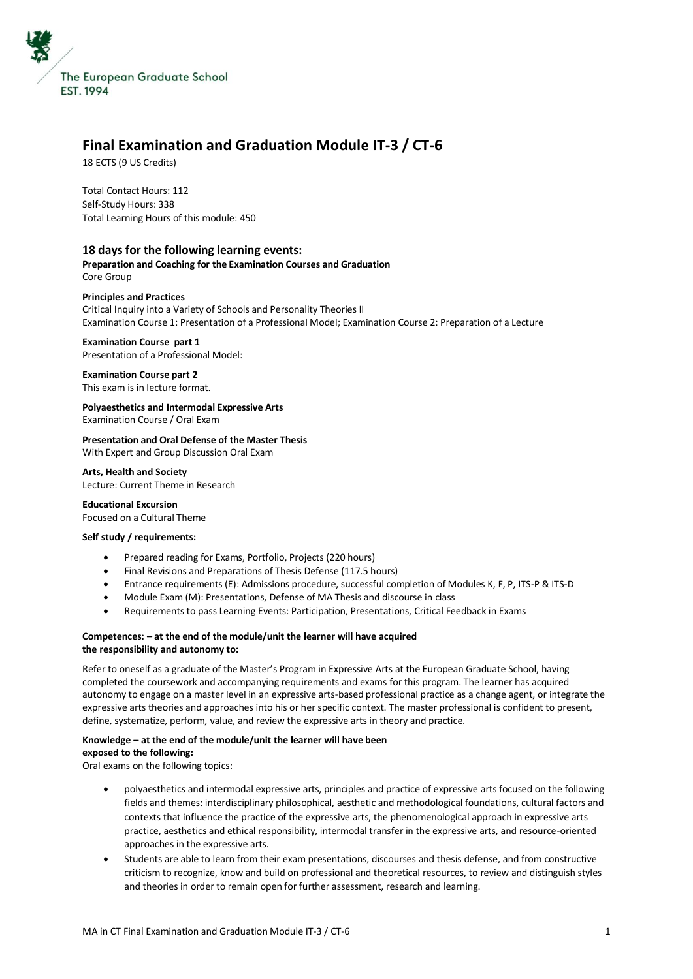

# **Final Examination and Graduation Module IT-3 / CT-6**

18 ECTS (9 US Credits)

Total Contact Hours: 112 Self-Study Hours: 338 Total Learning Hours of this module: 450

# **18 days for the following learning events:**

**Preparation and Coaching for the Examination Courses and Graduation** Core Group

# **Principles and Practices**

Critical Inquiry into a Variety of Schools and Personality Theories II Examination Course 1: Presentation of a Professional Model; Examination Course 2: Preparation of a Lecture

**Examination Course part 1** Presentation of a Professional Model:

**Examination Course part 2**

This exam is in lecture format.

**Polyaesthetics and Intermodal Expressive Arts**

Examination Course / Oral Exam

**Presentation and Oral Defense of the Master Thesis**

With Expert and Group Discussion Oral Exam

**Arts, Health and Society** Lecture: Current Theme in Research

**Educational Excursion** Focused on a Cultural Theme

## **Self study / requirements:**

- Prepared reading for Exams, Portfolio, Projects (220 hours)
- Final Revisions and Preparations of Thesis Defense (117.5 hours)
- Entrance requirements (E): Admissions procedure, successful completion of Modules K, F, P, ITS-P & ITS-D
- Module Exam (M): Presentations, Defense of MA Thesis and discourse in class
- Requirements to pass Learning Events: Participation, Presentations, Critical Feedback in Exams

# **Competences: – at the end of the module/unit the learner will have acquired the responsibility and autonomy to:**

Refer to oneself as a graduate of the Master's Program in Expressive Arts at the European Graduate School, having completed the coursework and accompanying requirements and exams for this program. The learner has acquired autonomy to engage on a master level in an expressive arts-based professional practice as a change agent, or integrate the expressive arts theories and approaches into his or her specific context. The master professional is confident to present, define, systematize, perform, value, and review the expressive arts in theory and practice.

# **Knowledge – at the end of the module/unit the learner will have been exposed to the following:**

Oral exams on the following topics:

- polyaesthetics and intermodal expressive arts, principles and practice of expressive arts focused on the following fields and themes: interdisciplinary philosophical, aesthetic and methodological foundations, cultural factors and contexts that influence the practice of the expressive arts, the phenomenological approach in expressive arts practice, aesthetics and ethical responsibility, intermodal transfer in the expressive arts, and resource-oriented approaches in the expressive arts.
- Students are able to learn from their exam presentations, discourses and thesis defense, and from constructive criticism to recognize, know and build on professional and theoretical resources, to review and distinguish styles and theories in order to remain open for further assessment, research and learning.